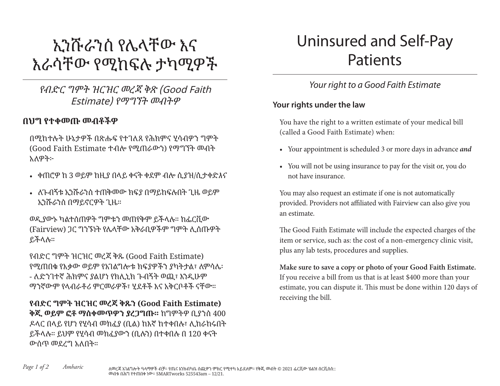# ኢንሹራንስ የሌላቸው እና እራሳቸው የሚከፍሉ ታካሚዎች

የብድር ግምት ዝርዝር መረጃ ቅጽ (Good Faith Estimate) የማግኘት መብትዎ

### በህግ የተቀመጡ መብቶችዎ

በሚከተሉት ሁኔታዎች በጽሑፍ የተገለጸ የሕክምና ሂሳብዎን ግምት (Good Faith Estimate ተብሎ የሚጠራውን) የማግኘት መብት አለዎት፦

- ቀጠሮዎ ከ 3 ወይም ከዚያ በላይ ቀናት ቀደም ብሎ ሲያዝ/ሲታቀድእና
- ለጉብኝቱ ኢንሹራንስ ተጠቅመው ክፍያ በማይከፍሉበት ጊዜ ወይም ኢንሹራንስ በማይኖርዎት ጊዜ።

ወዲያውኑ ካልተሰጠዎት ግምቱን መጠየቅም ይችላሉ። ከፌርቪው (Fairview) ጋር ግንኙነት የሌላቸው አቅራቢዎችም ግምት ሊሰጡዎት ይችላሉ።

የብድር ግምት ዝርዝር መረጃ ቅጹ (Good Faith Estimate) የሚጠበቁ የእቃው ወይም የአገልግሎቱ ክፍያዎችን ያካትታል፣ ለምሳሌ፡ - ለድንገተኛ ሕክምና ያልሆነ የክሊኒክ ጉብኝት ወጪ፣ እንዲሁም ማንኛውም የላብራቶሪ ምርመራዎች፣ ሂደቶች እና አቅርቦቶች ናቸው።

የብድር ግምት ዝርዝር መረጃ ቅጹን **(Good Faith Estimate)** ቅጂ ወይም ፎቶ ማስቀመጥዎን ያረጋግጡ። ከግምትዎ ቢያንስ 400 ዶላር በላይ የሆነ የሂሳብ መክፈያ (ቢል) ከእኛ ከተቀበሉ፣ ሊከራከሩበት ይችላሉ። ይህም የሂሳብ መክፈያውን (ቢሉን) በተቀበሉ በ 120 ቀናት ውስጥ መደረግ አለበት።

## Uninsured and Self-Pay Patients

## *Your right to a Good Faith Estimate*

#### **Your rights under the law**

You have the right to a written estimate of your medical bill (called a Good Faith Estimate) when:

- Your appointment is scheduled 3 or more days in advance *and*
- You will not be using insurance to pay for the visit or, you do not have insurance.

You may also request an estimate if one is not automatically provided. Providers not affiliated with Fairview can also give you an estimate.

The Good Faith Estimate will include the expected charges of the item or service, such as: the cost of a non-emergency clinic visit, plus any lab tests, procedures and supplies.

**Make sure to save a copy or photo of your Good Faith Estimate.** If you receive a bill from us that is at least \$400 more than your estimate, you can dispute it. This must be done within 120 days of receiving the bill.